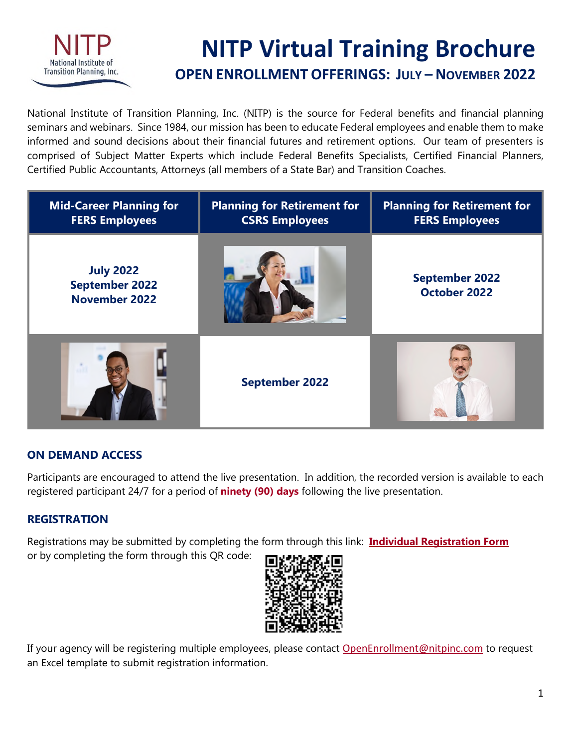

# **NITP Virtual Training Brochure**

# **OPEN ENROLLMENT OFFERINGS: JULY – NOVEMBER 2022**

National Institute of Transition Planning, Inc. (NITP) is the source for Federal benefits and financial planning seminars and webinars. Since 1984, our mission has been to educate Federal employees and enable them to make informed and sound decisions about their financial futures and retirement options. Our team of presenters is comprised of Subject Matter Experts which include Federal Benefits Specialists, Certified Financial Planners, Certified Public Accountants, Attorneys (all members of a State Bar) and Transition Coaches.

| <b>Mid-Career Planning for</b><br><b>FERS Employees</b>           | <b>Planning for Retirement for</b><br><b>CSRS Employees</b> | <b>Planning for Retirement for</b><br><b>FERS Employees</b> |
|-------------------------------------------------------------------|-------------------------------------------------------------|-------------------------------------------------------------|
| <b>July 2022</b><br><b>September 2022</b><br><b>November 2022</b> |                                                             | <b>September 2022</b><br><b>October 2022</b>                |
|                                                                   | <b>September 2022</b>                                       |                                                             |

# **ON DEMAND ACCESS**

Participants are encouraged to attend the live presentation. In addition, the recorded version is available to each registered participant 24/7 for a period of **ninety (90) days** following the live presentation.

# **REGISTRATION**

Registrations may be submitted by completing the form through this link: **[Individual Registration Form](https://forms.office.com/Pages/ResponsePage.aspx?id=12tCRyLreEOXx9P4-_Z7gnqYD4pcJElFuL8r61fc2_xUQTE2WlBES1ZOWE03RVhGNVc3UDZLMU9DUy4u)**

or by completing the form through this QR code:



If your agency will be registering multiple employees, please contact [OpenEnrollment@nitpinc.com](mailto:OpenEnrollment@nitpinc.com) to request an Excel template to submit registration information.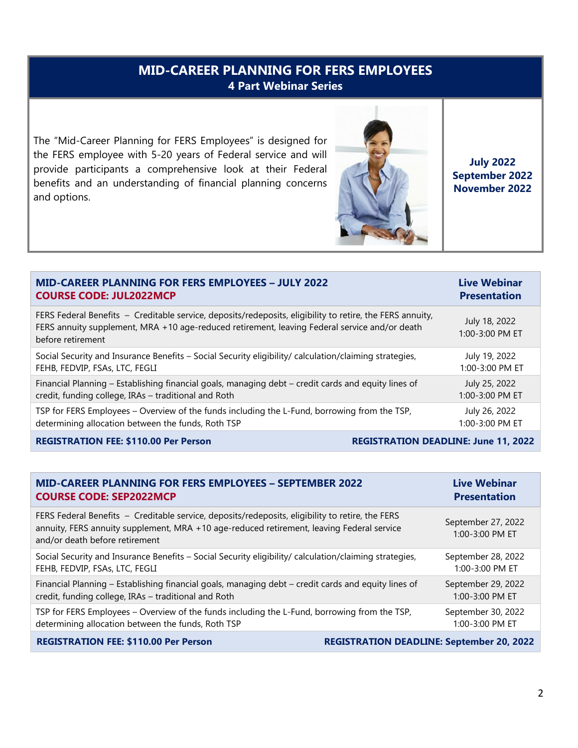# **MID-CAREER PLANNING FOR FERS EMPLOYEES 4 Part Webinar Series**

The "Mid-Career Planning for FERS Employees" is designed for the FERS employee with 5-20 years of Federal service and will provide participants a comprehensive look at their Federal benefits and an understanding of financial planning concerns and options.



**July 2022 September 2022 November 2022** 

| <b>MID-CAREER PLANNING FOR FERS EMPLOYEES - JULY 2022</b>                                                                                                                                                                       | <b>Live Webinar</b>              |
|---------------------------------------------------------------------------------------------------------------------------------------------------------------------------------------------------------------------------------|----------------------------------|
| <b>COURSE CODE: JUL2022MCP</b>                                                                                                                                                                                                  | <b>Presentation</b>              |
| FERS Federal Benefits - Creditable service, deposits/redeposits, eligibility to retire, the FERS annuity,<br>FERS annuity supplement, MRA +10 age-reduced retirement, leaving Federal service and/or death<br>before retirement | July 18, 2022<br>1:00-3:00 PM ET |
| Social Security and Insurance Benefits - Social Security eligibility/ calculation/claiming strategies,                                                                                                                          | July 19, 2022                    |
| FEHB, FEDVIP, FSAs, LTC, FEGLI                                                                                                                                                                                                  | $1:00 - 3:00$ PM ET              |
| Financial Planning – Establishing financial goals, managing debt – credit cards and equity lines of                                                                                                                             | July 25, 2022                    |
| credit, funding college, IRAs - traditional and Roth                                                                                                                                                                            | 1:00-3:00 PM ET                  |
| TSP for FERS Employees – Overview of the funds including the L-Fund, borrowing from the TSP,                                                                                                                                    | July 26, 2022                    |
| determining allocation between the funds, Roth TSP                                                                                                                                                                              | 1:00-3:00 PM ET                  |
|                                                                                                                                                                                                                                 |                                  |

**REGISTRATION FEE: \$110.00 Per Person REGISTRATION DEADLINE: June 11, 2022** 

| <b>MID-CAREER PLANNING FOR FERS EMPLOYEES - SEPTEMBER 2022</b>                                                                                                                                                                  | <b>Live Webinar</b>                   |
|---------------------------------------------------------------------------------------------------------------------------------------------------------------------------------------------------------------------------------|---------------------------------------|
| <b>COURSE CODE: SEP2022MCP</b>                                                                                                                                                                                                  | <b>Presentation</b>                   |
| FERS Federal Benefits - Creditable service, deposits/redeposits, eligibility to retire, the FERS<br>annuity, FERS annuity supplement, MRA +10 age-reduced retirement, leaving Federal service<br>and/or death before retirement | September 27, 2022<br>1:00-3:00 PM ET |
| Social Security and Insurance Benefits - Social Security eligibility/ calculation/claiming strategies,                                                                                                                          | September 28, 2022                    |
| FEHB, FEDVIP, FSAs, LTC, FEGLI                                                                                                                                                                                                  | $1:00 - 3:00$ PM ET                   |
| Financial Planning - Establishing financial goals, managing debt - credit cards and equity lines of                                                                                                                             | September 29, 2022                    |
| credit, funding college, IRAs - traditional and Roth                                                                                                                                                                            | 1:00-3:00 PM ET                       |
| TSP for FERS Employees – Overview of the funds including the L-Fund, borrowing from the TSP,                                                                                                                                    | September 30, 2022                    |
| determining allocation between the funds, Roth TSP                                                                                                                                                                              | 1:00-3:00 PM ET                       |
| <b>REGISTRATION FEE: \$110.00 Per Person</b><br><b>REGISTRATION DEADLINE: September 20, 2022</b>                                                                                                                                |                                       |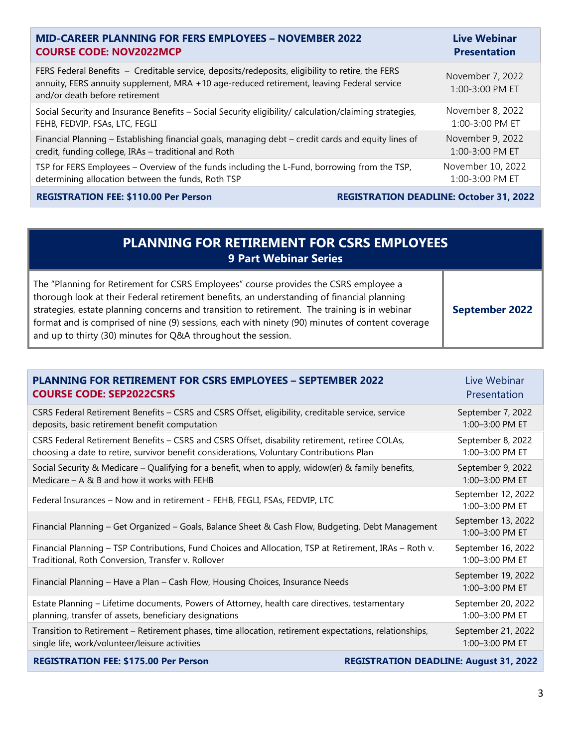| <b>MID-CAREER PLANNING FOR FERS EMPLOYEES - NOVEMBER 2022</b>                                                                                                                                                                   | <b>Live Webinar</b>                 |
|---------------------------------------------------------------------------------------------------------------------------------------------------------------------------------------------------------------------------------|-------------------------------------|
| <b>COURSE CODE: NOV2022MCP</b>                                                                                                                                                                                                  | <b>Presentation</b>                 |
| FERS Federal Benefits - Creditable service, deposits/redeposits, eligibility to retire, the FERS<br>annuity, FERS annuity supplement, MRA +10 age-reduced retirement, leaving Federal service<br>and/or death before retirement | November 7, 2022<br>1:00-3:00 PM ET |
| Social Security and Insurance Benefits - Social Security eligibility/ calculation/claiming strategies,                                                                                                                          | November 8, 2022                    |
| FEHB, FEDVIP, FSAs, LTC, FEGLI                                                                                                                                                                                                  | 1:00-3:00 PM ET                     |
| Financial Planning - Establishing financial goals, managing debt - credit cards and equity lines of                                                                                                                             | November 9, 2022                    |
| credit, funding college, IRAs - traditional and Roth                                                                                                                                                                            | 1:00-3:00 PM ET                     |
| TSP for FERS Employees - Overview of the funds including the L-Fund, borrowing from the TSP,                                                                                                                                    | November 10, 2022                   |
| determining allocation between the funds, Roth TSP                                                                                                                                                                              | 1:00-3:00 PM ET                     |
|                                                                                                                                                                                                                                 |                                     |

REGISTRATION FEE: \$110.00 Per Person REGISTRATION DEADLINE: October 31, 2022

# **PLANNING FOR RETIREMENT FOR CSRS EMPLOYEES 9 Part Webinar Series**

The "Planning for Retirement for CSRS Employees" course provides the CSRS employee a thorough look at their Federal retirement benefits, an understanding of financial planning strategies, estate planning concerns and transition to retirement. The training is in webinar format and is comprised of nine (9) sessions, each with ninety (90) minutes of content coverage and up to thirty (30) minutes for Q&A throughout the session. **September 2022**

| <b>PLANNING FOR RETIREMENT FOR CSRS EMPLOYEES - SEPTEMBER 2022</b>                                     | Live Webinar                                  |
|--------------------------------------------------------------------------------------------------------|-----------------------------------------------|
| <b>COURSE CODE: SEP2022CSRS</b>                                                                        | Presentation                                  |
| CSRS Federal Retirement Benefits - CSRS and CSRS Offset, eligibility, creditable service, service      | September 7, 2022                             |
| deposits, basic retirement benefit computation                                                         | 1:00-3:00 PM ET                               |
| CSRS Federal Retirement Benefits - CSRS and CSRS Offset, disability retirement, retiree COLAs,         | September 8, 2022                             |
| choosing a date to retire, survivor benefit considerations, Voluntary Contributions Plan               | 1:00-3:00 PM ET                               |
| Social Security & Medicare - Qualifying for a benefit, when to apply, widow(er) & family benefits,     | September 9, 2022                             |
| Medicare $-$ A & B and how it works with FEHB                                                          | 1:00-3:00 PM ET                               |
| Federal Insurances - Now and in retirement - FEHB, FEGLI, FSAs, FEDVIP, LTC                            | September 12, 2022<br>$1:00 - 3:00$ PM ET     |
| Financial Planning - Get Organized - Goals, Balance Sheet & Cash Flow, Budgeting, Debt Management      | September 13, 2022<br>1:00-3:00 PM ET         |
| Financial Planning - TSP Contributions, Fund Choices and Allocation, TSP at Retirement, IRAs - Roth v. | September 16, 2022                            |
| Traditional, Roth Conversion, Transfer v. Rollover                                                     | 1:00-3:00 PM ET                               |
| Financial Planning - Have a Plan - Cash Flow, Housing Choices, Insurance Needs                         | September 19, 2022<br>1:00-3:00 PM ET         |
| Estate Planning - Lifetime documents, Powers of Attorney, health care directives, testamentary         | September 20, 2022                            |
| planning, transfer of assets, beneficiary designations                                                 | $1:00 - 3:00$ PM ET                           |
| Transition to Retirement - Retirement phases, time allocation, retirement expectations, relationships, | September 21, 2022                            |
| single life, work/volunteer/leisure activities                                                         | $1:00 - 3:00$ PM ET                           |
| <b>REGISTRATION FEE: \$175.00 Per Person</b>                                                           | <b>REGISTRATION DEADLINE: August 31, 2022</b> |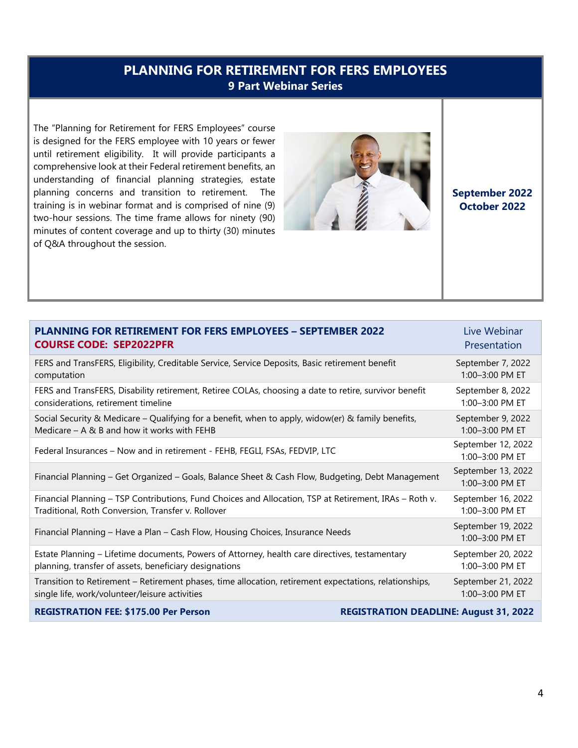# **PLANNING FOR RETIREMENT FOR FERS EMPLOYEES 9 Part Webinar Series**

The "Planning for Retirement for FERS Employees" course is designed for the FERS employee with 10 years or fewer until retirement eligibility. It will provide participants a comprehensive look at their Federal retirement benefits, an understanding of financial planning strategies, estate planning concerns and transition to retirement. The training is in webinar format and is comprised of nine (9) two-hour sessions. The time frame allows for ninety (90) minutes of content coverage and up to thirty (30) minutes of Q&A throughout the session.



**September 2022 October 2022**

| <b>PLANNING FOR RETIREMENT FOR FERS EMPLOYEES - SEPTEMBER 2022</b>                                     | Live Webinar                                  |
|--------------------------------------------------------------------------------------------------------|-----------------------------------------------|
| <b>COURSE CODE: SEP2022PFR</b>                                                                         | Presentation                                  |
| FERS and TransFERS, Eligibility, Creditable Service, Service Deposits, Basic retirement benefit        | September 7, 2022                             |
| computation                                                                                            | 1:00-3:00 PM ET                               |
| FERS and TransFERS, Disability retirement, Retiree COLAs, choosing a date to retire, survivor benefit  | September 8, 2022                             |
| considerations, retirement timeline                                                                    | 1:00-3:00 PM ET                               |
| Social Security & Medicare – Qualifying for a benefit, when to apply, widow(er) & family benefits,     | September 9, 2022                             |
| Medicare – A & B and how it works with FEHB                                                            | 1:00-3:00 PM ET                               |
| Federal Insurances - Now and in retirement - FEHB, FEGLI, FSAs, FEDVIP, LTC                            | September 12, 2022<br>1:00-3:00 PM ET         |
| Financial Planning - Get Organized - Goals, Balance Sheet & Cash Flow, Budgeting, Debt Management      | September 13, 2022<br>1:00-3:00 PM ET         |
| Financial Planning - TSP Contributions, Fund Choices and Allocation, TSP at Retirement, IRAs - Roth v. | September 16, 2022                            |
| Traditional, Roth Conversion, Transfer v. Rollover                                                     | 1:00-3:00 PM ET                               |
| Financial Planning - Have a Plan - Cash Flow, Housing Choices, Insurance Needs                         | September 19, 2022<br>1:00-3:00 PM ET         |
| Estate Planning - Lifetime documents, Powers of Attorney, health care directives, testamentary         | September 20, 2022                            |
| planning, transfer of assets, beneficiary designations                                                 | 1:00-3:00 PM ET                               |
| Transition to Retirement - Retirement phases, time allocation, retirement expectations, relationships, | September 21, 2022                            |
| single life, work/volunteer/leisure activities                                                         | $1:00 - 3:00$ PM ET                           |
| <b>REGISTRATION FEE: \$175.00 Per Person</b>                                                           | <b>REGISTRATION DEADLINE: August 31, 2022</b> |